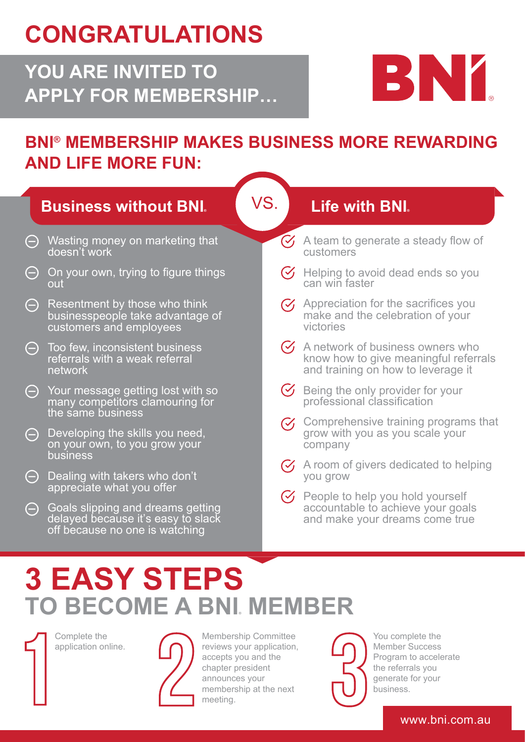## **CONGRATULATIONS**

### **YOU ARE INVITED TO APPLY FOR MEMBERSHIP…**



### **BNI® MEMBERSHIP MAKES BUSINESS MORE REWARDING AND LIFE MORE FUN:**

|                                               | <b>Business without BNI.</b>                                                                                                           | VS.            | <b>Life with BNI.</b>                                                                                                         |
|-----------------------------------------------|----------------------------------------------------------------------------------------------------------------------------------------|----------------|-------------------------------------------------------------------------------------------------------------------------------|
| $\ominus$<br>doesn't work                     | Wasting money on marketing that                                                                                                        | $(\checkmark)$ | A team to generate a steady flow of<br>customers                                                                              |
| $\ominus$<br>out                              | On your own, trying to figure things                                                                                                   |                | Helping to avoid dead ends so you<br>can win faster                                                                           |
| $\ominus$<br>customers and employees          | Resentment by those who think<br>businesspeople take advantage of                                                                      |                | $\gamma$ Appreciation for the sacrifices you<br>make and the celebration of your<br>victories                                 |
| (-) Too few, inconsistent business<br>network | referrals with a weak referral                                                                                                         |                | $\mathcal{G}$ A network of business owners who<br>know how to give meaningful referrals<br>and training on how to leverage it |
| the same business                             | $\ominus$ Your message getting lost with so<br>many competitors clamouring for                                                         |                | Being the only provider for your<br>professional classification                                                               |
| $\Theta$<br>business                          | Developing the skills you need,<br>on your own, to you grow your                                                                       |                | Comprehensive training programs that<br>grow with you as you scale your<br>company                                            |
| $\Theta$                                      | Dealing with takers who don't                                                                                                          |                | $\heartsuit$ A room of givers dedicated to helping<br>you grow                                                                |
| $\ominus$                                     | appreciate what you offer<br>Goals slipping and dreams getting<br>delayed because it's easy to slack<br>off because no one is watching |                | People to help you hold yourself<br>accountable to achieve your goals<br>and make your dreams come true                       |

# **3 EASY STEPS TO BECOME A BNI® MEMBER**

Complete the application online.



Membership Committee reviews your application, accepts you and the chapter president announces your membership at the next meeting.



You complete the Member Success Program to accelerate the referrals you generate for your business.